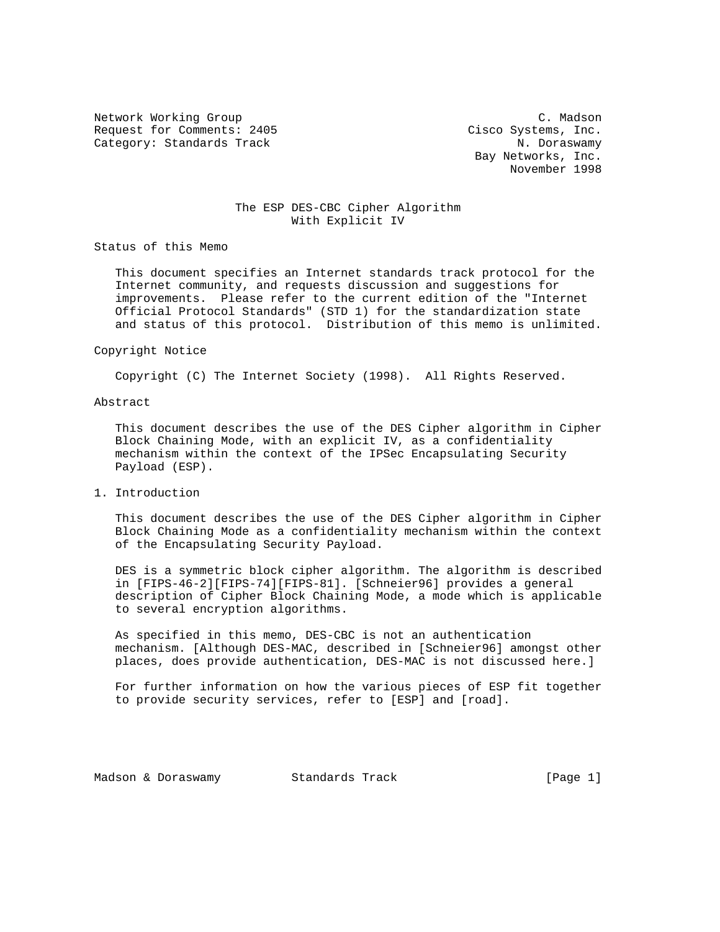Network Working Group C. Madson Request for Comments: 2405 Cisco Systems, Inc. Category: Standards Track N. Doraswamy

 Bay Networks, Inc. November 1998

# The ESP DES-CBC Cipher Algorithm With Explicit IV

Status of this Memo

 This document specifies an Internet standards track protocol for the Internet community, and requests discussion and suggestions for improvements. Please refer to the current edition of the "Internet Official Protocol Standards" (STD 1) for the standardization state and status of this protocol. Distribution of this memo is unlimited.

#### Copyright Notice

Copyright (C) The Internet Society (1998). All Rights Reserved.

### Abstract

 This document describes the use of the DES Cipher algorithm in Cipher Block Chaining Mode, with an explicit IV, as a confidentiality mechanism within the context of the IPSec Encapsulating Security Payload (ESP).

1. Introduction

 This document describes the use of the DES Cipher algorithm in Cipher Block Chaining Mode as a confidentiality mechanism within the context of the Encapsulating Security Payload.

 DES is a symmetric block cipher algorithm. The algorithm is described in [FIPS-46-2][FIPS-74][FIPS-81]. [Schneier96] provides a general description of Cipher Block Chaining Mode, a mode which is applicable to several encryption algorithms.

 As specified in this memo, DES-CBC is not an authentication mechanism. [Although DES-MAC, described in [Schneier96] amongst other places, does provide authentication, DES-MAC is not discussed here.]

 For further information on how the various pieces of ESP fit together to provide security services, refer to [ESP] and [road].

Madson & Doraswamy Standards Track (Page 1)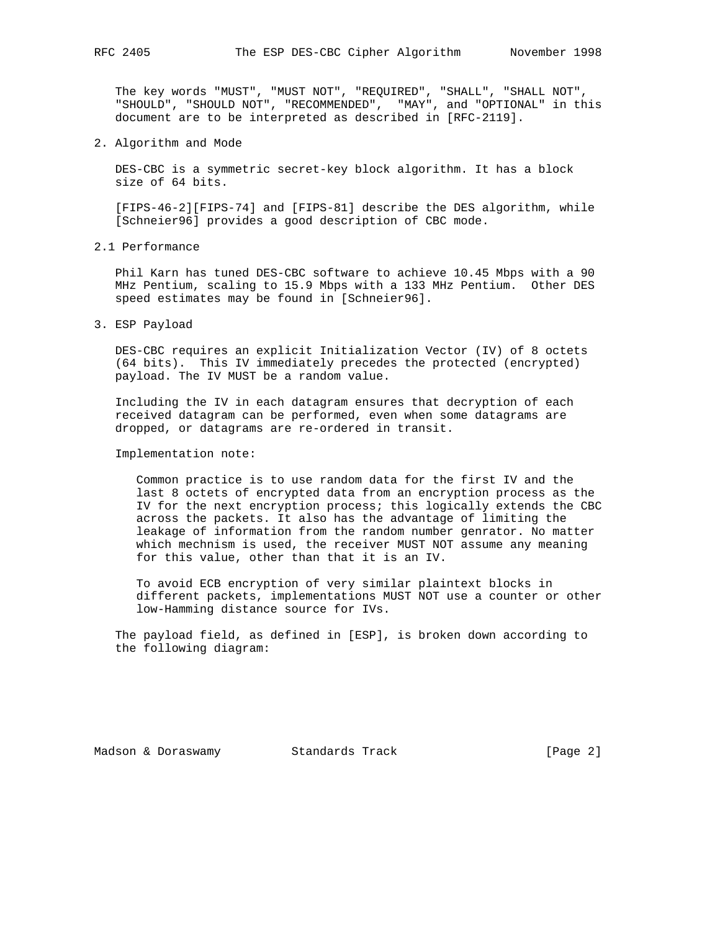The key words "MUST", "MUST NOT", "REQUIRED", "SHALL", "SHALL NOT", "SHOULD", "SHOULD NOT", "RECOMMENDED", "MAY", and "OPTIONAL" in this document are to be interpreted as described in [RFC-2119].

2. Algorithm and Mode

 DES-CBC is a symmetric secret-key block algorithm. It has a block size of 64 bits.

 [FIPS-46-2][FIPS-74] and [FIPS-81] describe the DES algorithm, while [Schneier96] provides a good description of CBC mode.

2.1 Performance

 Phil Karn has tuned DES-CBC software to achieve 10.45 Mbps with a 90 MHz Pentium, scaling to 15.9 Mbps with a 133 MHz Pentium. Other DES speed estimates may be found in [Schneier96].

3. ESP Payload

 DES-CBC requires an explicit Initialization Vector (IV) of 8 octets (64 bits). This IV immediately precedes the protected (encrypted) payload. The IV MUST be a random value.

 Including the IV in each datagram ensures that decryption of each received datagram can be performed, even when some datagrams are dropped, or datagrams are re-ordered in transit.

Implementation note:

 Common practice is to use random data for the first IV and the last 8 octets of encrypted data from an encryption process as the IV for the next encryption process; this logically extends the CBC across the packets. It also has the advantage of limiting the leakage of information from the random number genrator. No matter which mechnism is used, the receiver MUST NOT assume any meaning for this value, other than that it is an IV.

 To avoid ECB encryption of very similar plaintext blocks in different packets, implementations MUST NOT use a counter or other low-Hamming distance source for IVs.

 The payload field, as defined in [ESP], is broken down according to the following diagram:

Madson & Doraswamy Standards Track [Page 2]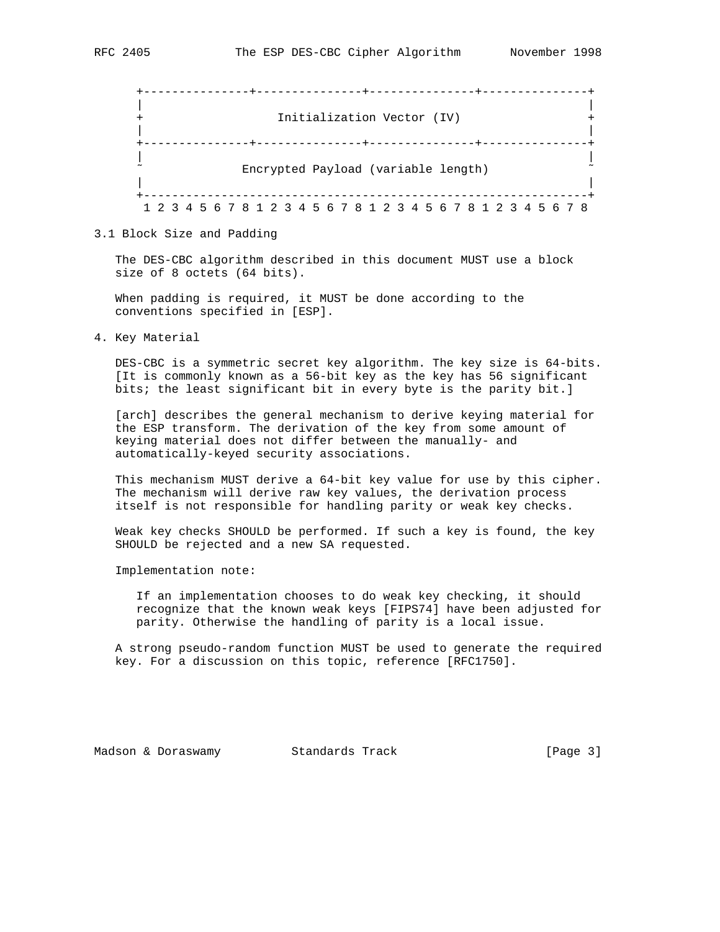|  |  |  |  |  |  |  | --------+--- |  | Initialization Vector (IV)                                      |  |  |  |  |  |  |  |
|--|--|--|--|--|--|--|--------------|--|-----------------------------------------------------------------|--|--|--|--|--|--|--|
|  |  |  |  |  |  |  |              |  | ---------+-------<br>Encrypted Payload (variable length)        |  |  |  |  |  |  |  |
|  |  |  |  |  |  |  |              |  | 1 2 3 4 5 6 7 8 1 2 3 4 5 6 7 8 1 2 3 4 5 6 7 8 1 2 3 4 5 6 7 8 |  |  |  |  |  |  |  |

### 3.1 Block Size and Padding

 The DES-CBC algorithm described in this document MUST use a block size of 8 octets (64 bits).

 When padding is required, it MUST be done according to the conventions specified in [ESP].

4. Key Material

 DES-CBC is a symmetric secret key algorithm. The key size is 64-bits. [It is commonly known as a 56-bit key as the key has 56 significant bits; the least significant bit in every byte is the parity bit.]

 [arch] describes the general mechanism to derive keying material for the ESP transform. The derivation of the key from some amount of keying material does not differ between the manually- and automatically-keyed security associations.

 This mechanism MUST derive a 64-bit key value for use by this cipher. The mechanism will derive raw key values, the derivation process itself is not responsible for handling parity or weak key checks.

 Weak key checks SHOULD be performed. If such a key is found, the key SHOULD be rejected and a new SA requested.

Implementation note:

 If an implementation chooses to do weak key checking, it should recognize that the known weak keys [FIPS74] have been adjusted for parity. Otherwise the handling of parity is a local issue.

 A strong pseudo-random function MUST be used to generate the required key. For a discussion on this topic, reference [RFC1750].

Madson & Doraswamy Standards Track [Page 3]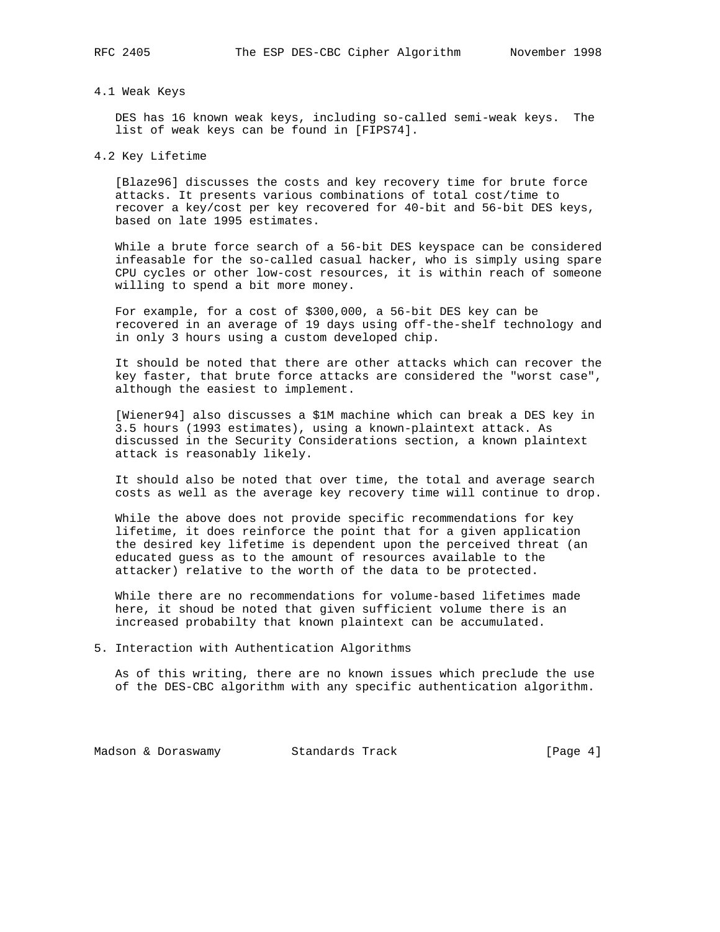### 4.1 Weak Keys

 DES has 16 known weak keys, including so-called semi-weak keys. The list of weak keys can be found in [FIPS74].

4.2 Key Lifetime

 [Blaze96] discusses the costs and key recovery time for brute force attacks. It presents various combinations of total cost/time to recover a key/cost per key recovered for 40-bit and 56-bit DES keys, based on late 1995 estimates.

 While a brute force search of a 56-bit DES keyspace can be considered infeasable for the so-called casual hacker, who is simply using spare CPU cycles or other low-cost resources, it is within reach of someone willing to spend a bit more money.

 For example, for a cost of \$300,000, a 56-bit DES key can be recovered in an average of 19 days using off-the-shelf technology and in only 3 hours using a custom developed chip.

 It should be noted that there are other attacks which can recover the key faster, that brute force attacks are considered the "worst case", although the easiest to implement.

 [Wiener94] also discusses a \$1M machine which can break a DES key in 3.5 hours (1993 estimates), using a known-plaintext attack. As discussed in the Security Considerations section, a known plaintext attack is reasonably likely.

 It should also be noted that over time, the total and average search costs as well as the average key recovery time will continue to drop.

 While the above does not provide specific recommendations for key lifetime, it does reinforce the point that for a given application the desired key lifetime is dependent upon the perceived threat (an educated guess as to the amount of resources available to the attacker) relative to the worth of the data to be protected.

 While there are no recommendations for volume-based lifetimes made here, it shoud be noted that given sufficient volume there is an increased probabilty that known plaintext can be accumulated.

5. Interaction with Authentication Algorithms

 As of this writing, there are no known issues which preclude the use of the DES-CBC algorithm with any specific authentication algorithm.

Madson & Doraswamy Standards Track (Page 4)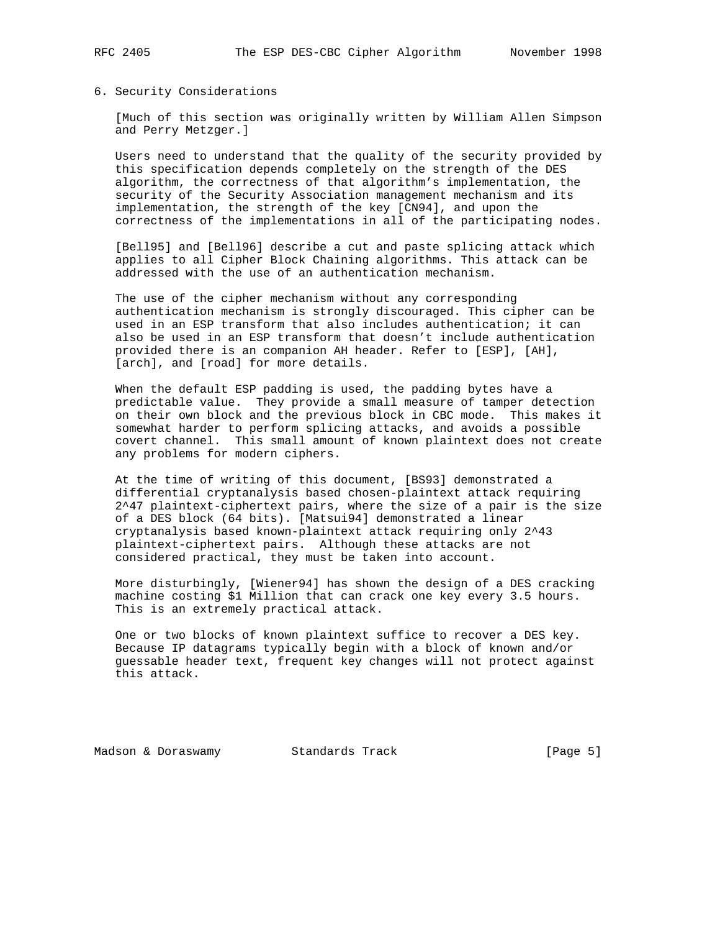### 6. Security Considerations

 [Much of this section was originally written by William Allen Simpson and Perry Metzger.]

 Users need to understand that the quality of the security provided by this specification depends completely on the strength of the DES algorithm, the correctness of that algorithm's implementation, the security of the Security Association management mechanism and its implementation, the strength of the key [CN94], and upon the correctness of the implementations in all of the participating nodes.

 [Bell95] and [Bell96] describe a cut and paste splicing attack which applies to all Cipher Block Chaining algorithms. This attack can be addressed with the use of an authentication mechanism.

 The use of the cipher mechanism without any corresponding authentication mechanism is strongly discouraged. This cipher can be used in an ESP transform that also includes authentication; it can also be used in an ESP transform that doesn't include authentication provided there is an companion AH header. Refer to [ESP], [AH], [arch], and [road] for more details.

 When the default ESP padding is used, the padding bytes have a predictable value. They provide a small measure of tamper detection on their own block and the previous block in CBC mode. This makes it somewhat harder to perform splicing attacks, and avoids a possible covert channel. This small amount of known plaintext does not create any problems for modern ciphers.

 At the time of writing of this document, [BS93] demonstrated a differential cryptanalysis based chosen-plaintext attack requiring 2^47 plaintext-ciphertext pairs, where the size of a pair is the size of a DES block (64 bits). [Matsui94] demonstrated a linear cryptanalysis based known-plaintext attack requiring only 2^43 plaintext-ciphertext pairs. Although these attacks are not considered practical, they must be taken into account.

 More disturbingly, [Wiener94] has shown the design of a DES cracking machine costing \$1 Million that can crack one key every 3.5 hours. This is an extremely practical attack.

 One or two blocks of known plaintext suffice to recover a DES key. Because IP datagrams typically begin with a block of known and/or guessable header text, frequent key changes will not protect against this attack.

Madson & Doraswamy Standards Track [Page 5]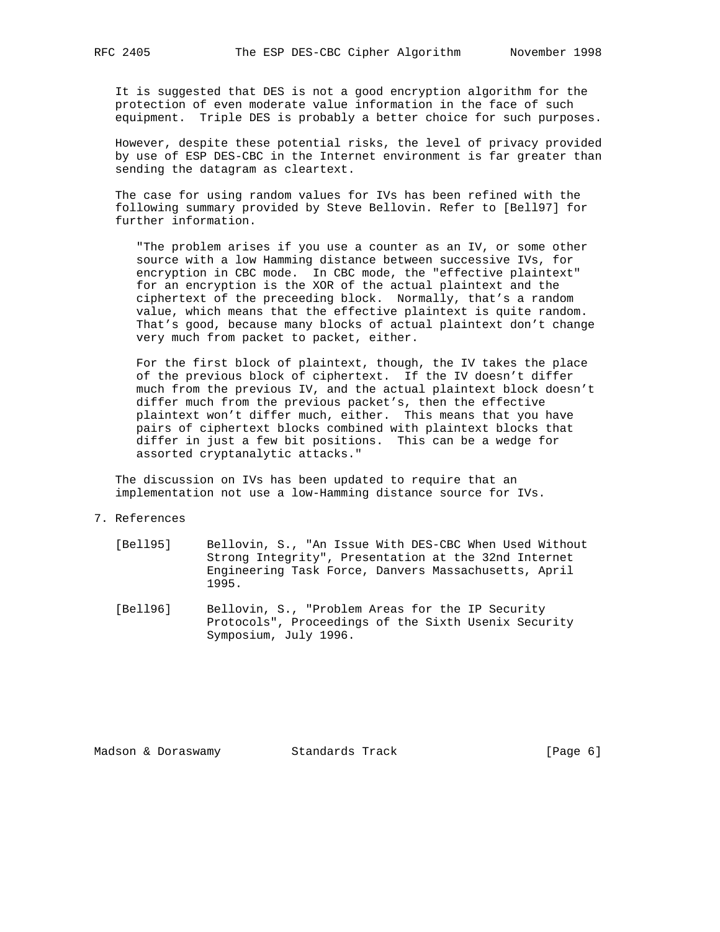It is suggested that DES is not a good encryption algorithm for the protection of even moderate value information in the face of such equipment. Triple DES is probably a better choice for such purposes.

 However, despite these potential risks, the level of privacy provided by use of ESP DES-CBC in the Internet environment is far greater than sending the datagram as cleartext.

 The case for using random values for IVs has been refined with the following summary provided by Steve Bellovin. Refer to [Bell97] for further information.

 "The problem arises if you use a counter as an IV, or some other source with a low Hamming distance between successive IVs, for encryption in CBC mode. In CBC mode, the "effective plaintext" for an encryption is the XOR of the actual plaintext and the ciphertext of the preceeding block. Normally, that's a random value, which means that the effective plaintext is quite random. That's good, because many blocks of actual plaintext don't change very much from packet to packet, either.

 For the first block of plaintext, though, the IV takes the place of the previous block of ciphertext. If the IV doesn't differ much from the previous IV, and the actual plaintext block doesn't differ much from the previous packet's, then the effective plaintext won't differ much, either. This means that you have pairs of ciphertext blocks combined with plaintext blocks that differ in just a few bit positions. This can be a wedge for assorted cryptanalytic attacks."

 The discussion on IVs has been updated to require that an implementation not use a low-Hamming distance source for IVs.

## 7. References

- [Bell95] Bellovin, S., "An Issue With DES-CBC When Used Without Strong Integrity", Presentation at the 32nd Internet Engineering Task Force, Danvers Massachusetts, April 1995.
- [Bell96] Bellovin, S., "Problem Areas for the IP Security Protocols", Proceedings of the Sixth Usenix Security Symposium, July 1996.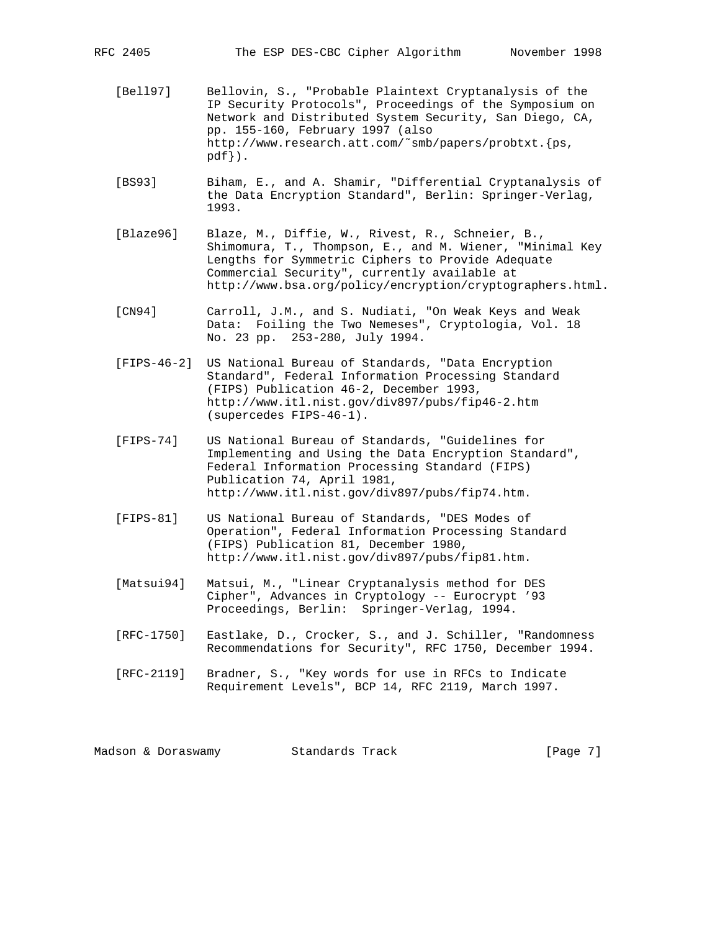- [Bell97] Bellovin, S., "Probable Plaintext Cryptanalysis of the IP Security Protocols", Proceedings of the Symposium on Network and Distributed System Security, San Diego, CA, pp. 155-160, February 1997 (also http://www.research.att.com/˜smb/papers/probtxt.{ps, pdf}).
- [BS93] Biham, E., and A. Shamir, "Differential Cryptanalysis of the Data Encryption Standard", Berlin: Springer-Verlag, 1993.
- [Blaze96] Blaze, M., Diffie, W., Rivest, R., Schneier, B., Shimomura, T., Thompson, E., and M. Wiener, "Minimal Key Lengths for Symmetric Ciphers to Provide Adequate Commercial Security", currently available at http://www.bsa.org/policy/encryption/cryptographers.html.
- [CN94] Carroll, J.M., and S. Nudiati, "On Weak Keys and Weak Data: Foiling the Two Nemeses", Cryptologia, Vol. 18 No. 23 pp. 253-280, July 1994.
- [FIPS-46-2] US National Bureau of Standards, "Data Encryption Standard", Federal Information Processing Standard (FIPS) Publication 46-2, December 1993, http://www.itl.nist.gov/div897/pubs/fip46-2.htm (supercedes FIPS-46-1).
- [FIPS-74] US National Bureau of Standards, "Guidelines for Implementing and Using the Data Encryption Standard", Federal Information Processing Standard (FIPS) Publication 74, April 1981, http://www.itl.nist.gov/div897/pubs/fip74.htm.
- [FIPS-81] US National Bureau of Standards, "DES Modes of Operation", Federal Information Processing Standard (FIPS) Publication 81, December 1980, http://www.itl.nist.gov/div897/pubs/fip81.htm.
- [Matsui94] Matsui, M., "Linear Cryptanalysis method for DES Cipher", Advances in Cryptology -- Eurocrypt '93 Proceedings, Berlin: Springer-Verlag, 1994.
- [RFC-1750] Eastlake, D., Crocker, S., and J. Schiller, "Randomness Recommendations for Security", RFC 1750, December 1994.
- [RFC-2119] Bradner, S., "Key words for use in RFCs to Indicate Requirement Levels", BCP 14, RFC 2119, March 1997.

Madson & Doraswamy Standards Track [Page 7]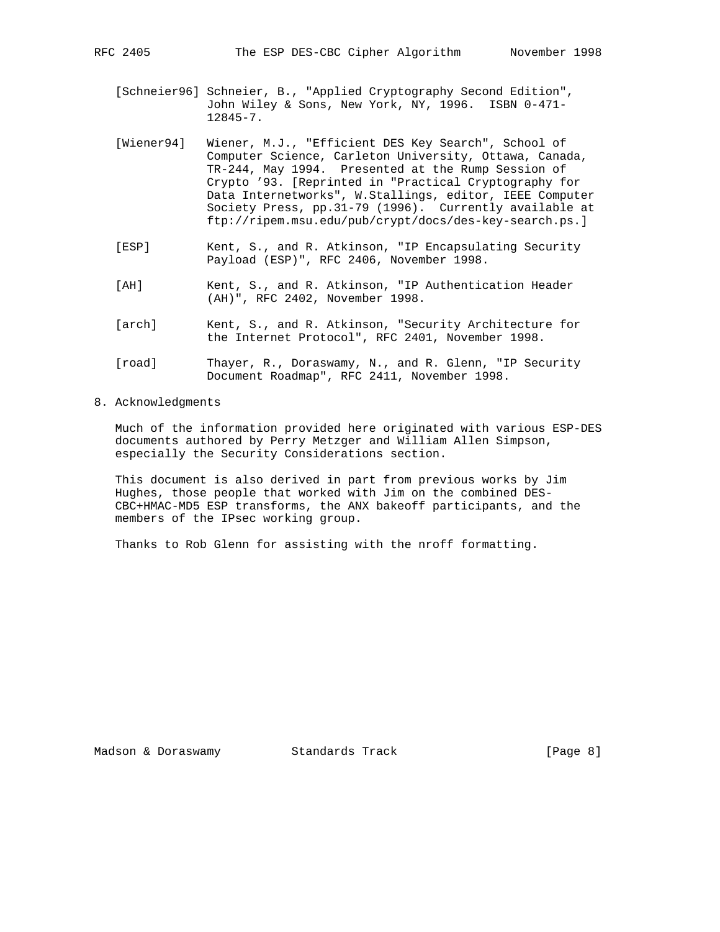[Schneier96] Schneier, B., "Applied Cryptography Second Edition", John Wiley & Sons, New York, NY, 1996. ISBN 0-471- 12845-7.

- [Wiener94] Wiener, M.J., "Efficient DES Key Search", School of Computer Science, Carleton University, Ottawa, Canada, TR-244, May 1994. Presented at the Rump Session of Crypto '93. [Reprinted in "Practical Cryptography for Data Internetworks", W.Stallings, editor, IEEE Computer Society Press, pp.31-79 (1996). Currently available at ftp://ripem.msu.edu/pub/crypt/docs/des-key-search.ps.]
- [ESP] Kent, S., and R. Atkinson, "IP Encapsulating Security Payload (ESP)", RFC 2406, November 1998.
- [AH] Kent, S., and R. Atkinson, "IP Authentication Header (AH)", RFC 2402, November 1998.
- [arch] Kent, S., and R. Atkinson, "Security Architecture for the Internet Protocol", RFC 2401, November 1998.
- [road] Thayer, R., Doraswamy, N., and R. Glenn, "IP Security Document Roadmap", RFC 2411, November 1998.
- 8. Acknowledgments

 Much of the information provided here originated with various ESP-DES documents authored by Perry Metzger and William Allen Simpson, especially the Security Considerations section.

 This document is also derived in part from previous works by Jim Hughes, those people that worked with Jim on the combined DES- CBC+HMAC-MD5 ESP transforms, the ANX bakeoff participants, and the members of the IPsec working group.

Thanks to Rob Glenn for assisting with the nroff formatting.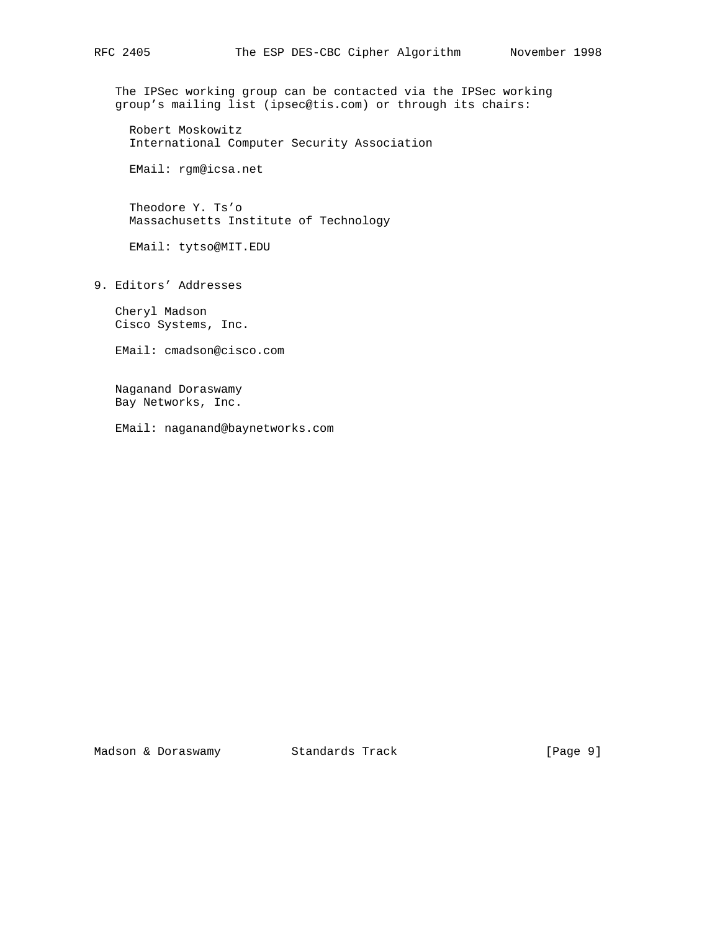The IPSec working group can be contacted via the IPSec working group's mailing list (ipsec@tis.com) or through its chairs:

 Robert Moskowitz International Computer Security Association

EMail: rgm@icsa.net

 Theodore Y. Ts'o Massachusetts Institute of Technology

EMail: tytso@MIT.EDU

9. Editors' Addresses

 Cheryl Madson Cisco Systems, Inc.

EMail: cmadson@cisco.com

 Naganand Doraswamy Bay Networks, Inc.

EMail: naganand@baynetworks.com